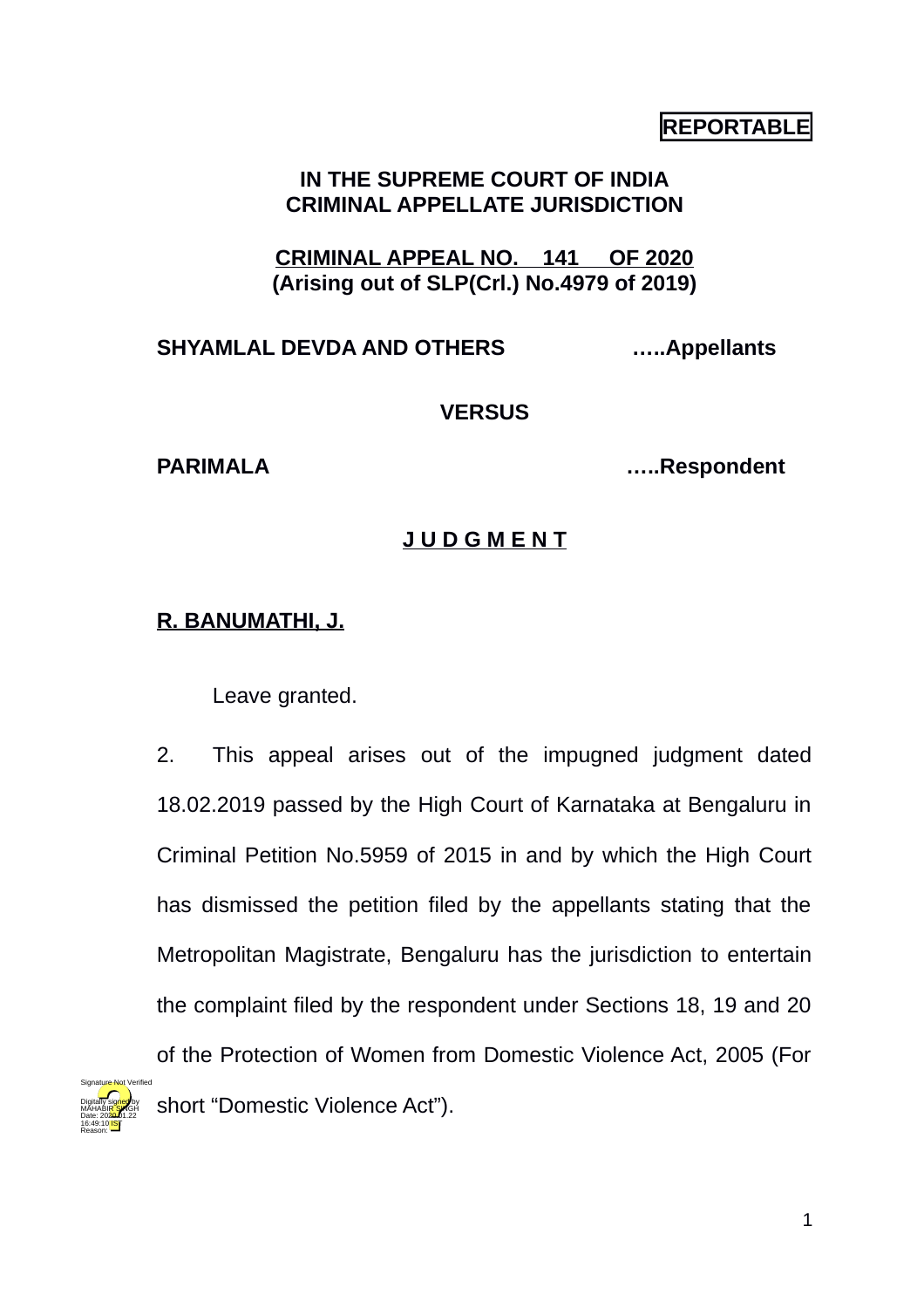# **REPORTABLE**

## **IN THE SUPREME COURT OF INDIA CRIMINAL APPELLATE JURISDICTION**

**CRIMINAL APPEAL NO. 141 OF 2020 (Arising out of SLP(Crl.) No.4979 of 2019)**

## **SHYAMLAL DEVDA AND OTHERS …..Appellants**

### **VERSUS**

Digitally signed by MÁHABI<mark>R SI</mark>NGH Date: 2020.01.22 16:49:10<sup>1ST</sup> Reason:

**PARIMALA …..Respondent**

## **J U D G M E N T**

## **R. BANUMATHI, J.**

Leave granted.

2. This appeal arises out of the impugned judgment dated 18.02.2019 passed by the High Court of Karnataka at Bengaluru in Criminal Petition No.5959 of 2015 in and by which the High Court has dismissed the petition filed by the appellants stating that the Metropolitan Magistrate, Bengaluru has the jurisdiction to entertain the complaint filed by the respondent under Sections 18, 19 and 20 of the Protection of Women from Domestic Violence Act, 2005 (For short "Domestic Violence Act"). Signature Not Verified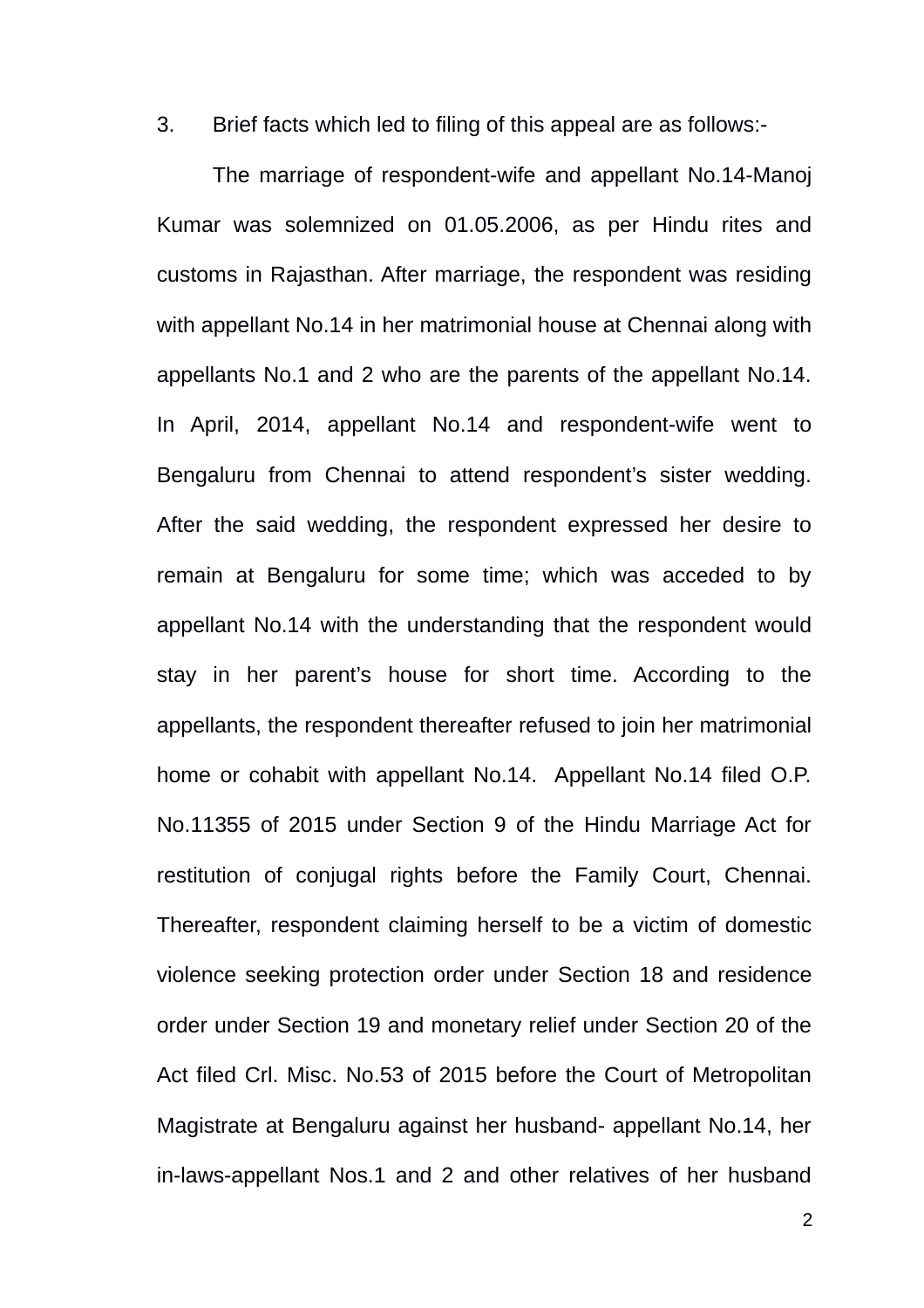3. Brief facts which led to filing of this appeal are as follows:-

The marriage of respondent-wife and appellant No.14-Manoj Kumar was solemnized on 01.05.2006, as per Hindu rites and customs in Rajasthan. After marriage, the respondent was residing with appellant No.14 in her matrimonial house at Chennai along with appellants No.1 and 2 who are the parents of the appellant No.14. In April, 2014, appellant No.14 and respondent-wife went to Bengaluru from Chennai to attend respondent's sister wedding. After the said wedding, the respondent expressed her desire to remain at Bengaluru for some time; which was acceded to by appellant No.14 with the understanding that the respondent would stay in her parent's house for short time. According to the appellants, the respondent thereafter refused to join her matrimonial home or cohabit with appellant No.14. Appellant No.14 filed O.P. No.11355 of 2015 under Section 9 of the Hindu Marriage Act for restitution of conjugal rights before the Family Court, Chennai. Thereafter, respondent claiming herself to be a victim of domestic violence seeking protection order under Section 18 and residence order under Section 19 and monetary relief under Section 20 of the Act filed Crl. Misc. No.53 of 2015 before the Court of Metropolitan Magistrate at Bengaluru against her husband- appellant No.14, her in-laws-appellant Nos.1 and 2 and other relatives of her husband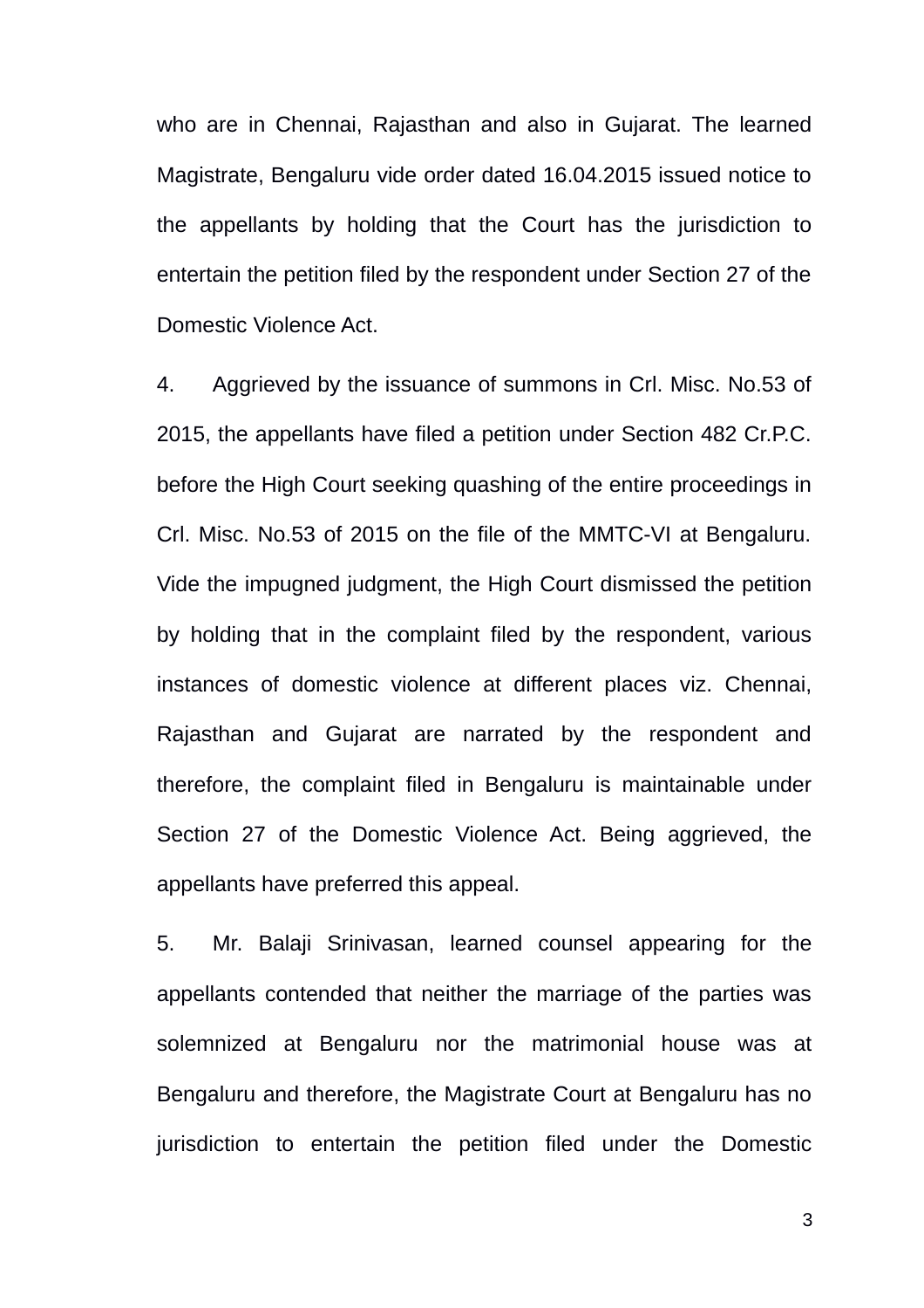who are in Chennai, Rajasthan and also in Gujarat. The learned Magistrate, Bengaluru vide order dated 16.04.2015 issued notice to the appellants by holding that the Court has the jurisdiction to entertain the petition filed by the respondent under Section 27 of the Domestic Violence Act.

4. Aggrieved by the issuance of summons in Crl. Misc. No.53 of 2015, the appellants have filed a petition under Section 482 Cr.P.C. before the High Court seeking quashing of the entire proceedings in Crl. Misc. No.53 of 2015 on the file of the MMTC-VI at Bengaluru. Vide the impugned judgment, the High Court dismissed the petition by holding that in the complaint filed by the respondent, various instances of domestic violence at different places viz. Chennai, Rajasthan and Gujarat are narrated by the respondent and therefore, the complaint filed in Bengaluru is maintainable under Section 27 of the Domestic Violence Act. Being aggrieved, the appellants have preferred this appeal.

5. Mr. Balaji Srinivasan, learned counsel appearing for the appellants contended that neither the marriage of the parties was solemnized at Bengaluru nor the matrimonial house was at Bengaluru and therefore, the Magistrate Court at Bengaluru has no jurisdiction to entertain the petition filed under the Domestic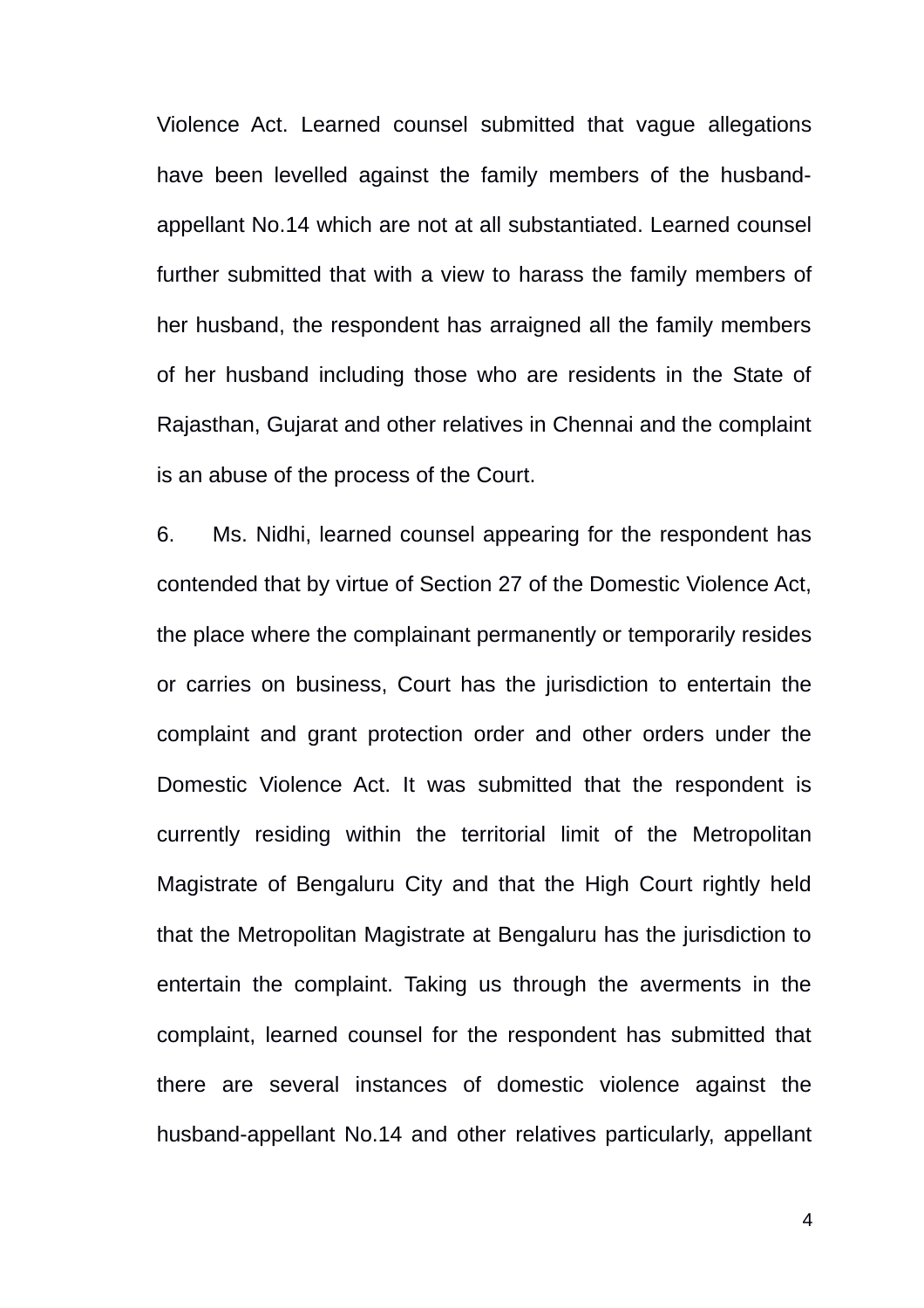Violence Act. Learned counsel submitted that vague allegations have been levelled against the family members of the husbandappellant No.14 which are not at all substantiated. Learned counsel further submitted that with a view to harass the family members of her husband, the respondent has arraigned all the family members of her husband including those who are residents in the State of Rajasthan, Gujarat and other relatives in Chennai and the complaint is an abuse of the process of the Court.

6. Ms. Nidhi, learned counsel appearing for the respondent has contended that by virtue of Section 27 of the Domestic Violence Act, the place where the complainant permanently or temporarily resides or carries on business, Court has the jurisdiction to entertain the complaint and grant protection order and other orders under the Domestic Violence Act. It was submitted that the respondent is currently residing within the territorial limit of the Metropolitan Magistrate of Bengaluru City and that the High Court rightly held that the Metropolitan Magistrate at Bengaluru has the jurisdiction to entertain the complaint. Taking us through the averments in the complaint, learned counsel for the respondent has submitted that there are several instances of domestic violence against the husband-appellant No.14 and other relatives particularly, appellant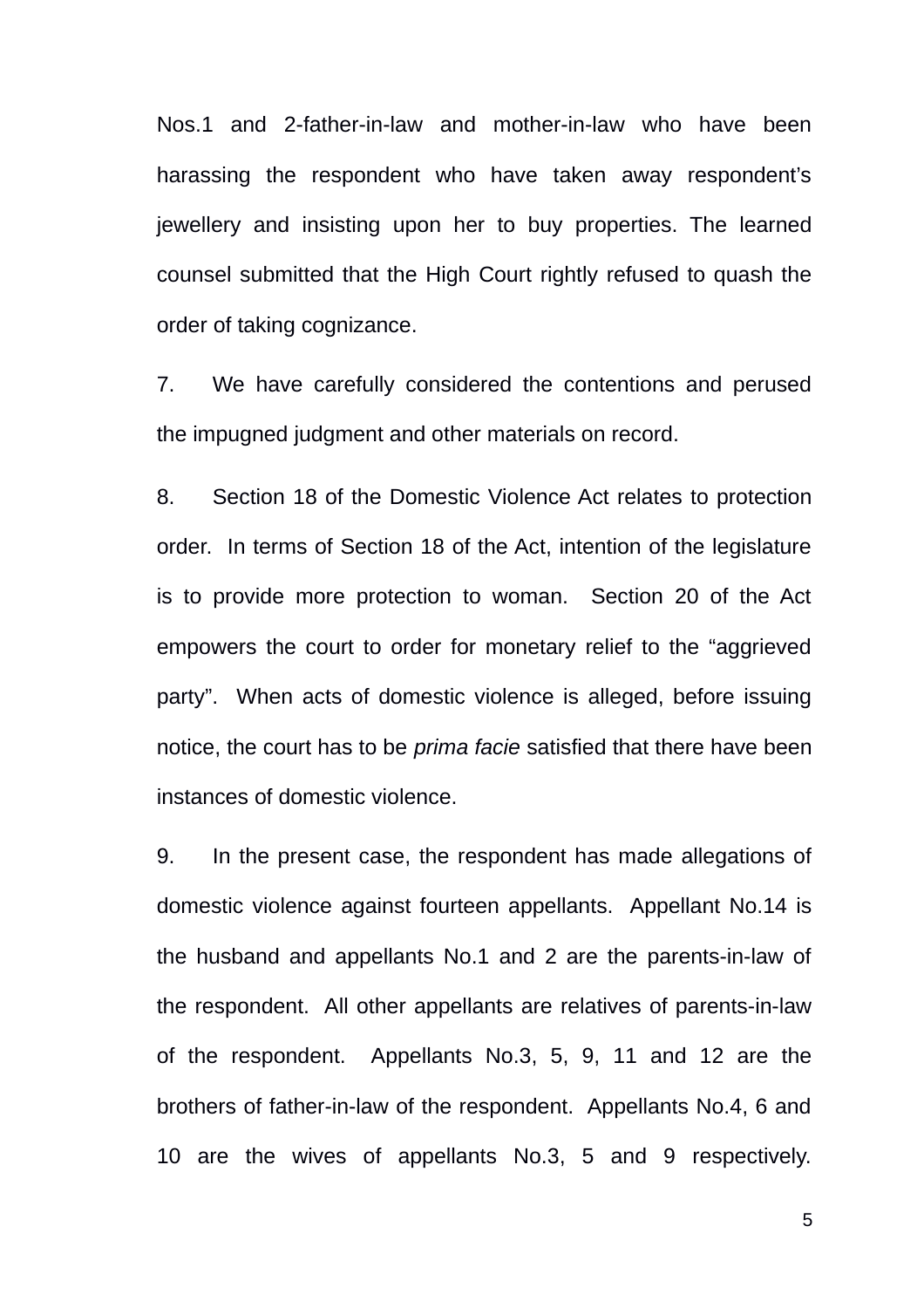Nos.1 and 2-father-in-law and mother-in-law who have been harassing the respondent who have taken away respondent's jewellery and insisting upon her to buy properties. The learned counsel submitted that the High Court rightly refused to quash the order of taking cognizance.

7. We have carefully considered the contentions and perused the impugned judgment and other materials on record.

8. Section 18 of the Domestic Violence Act relates to protection order. In terms of Section 18 of the Act, intention of the legislature is to provide more protection to woman. Section 20 of the Act empowers the court to order for monetary relief to the "aggrieved party". When acts of domestic violence is alleged, before issuing notice, the court has to be *prima facie* satisfied that there have been instances of domestic violence.

9. In the present case, the respondent has made allegations of domestic violence against fourteen appellants. Appellant No.14 is the husband and appellants No.1 and 2 are the parents-in-law of the respondent. All other appellants are relatives of parents-in-law of the respondent. Appellants No.3, 5, 9, 11 and 12 are the brothers of father-in-law of the respondent. Appellants No.4, 6 and 10 are the wives of appellants No.3, 5 and 9 respectively.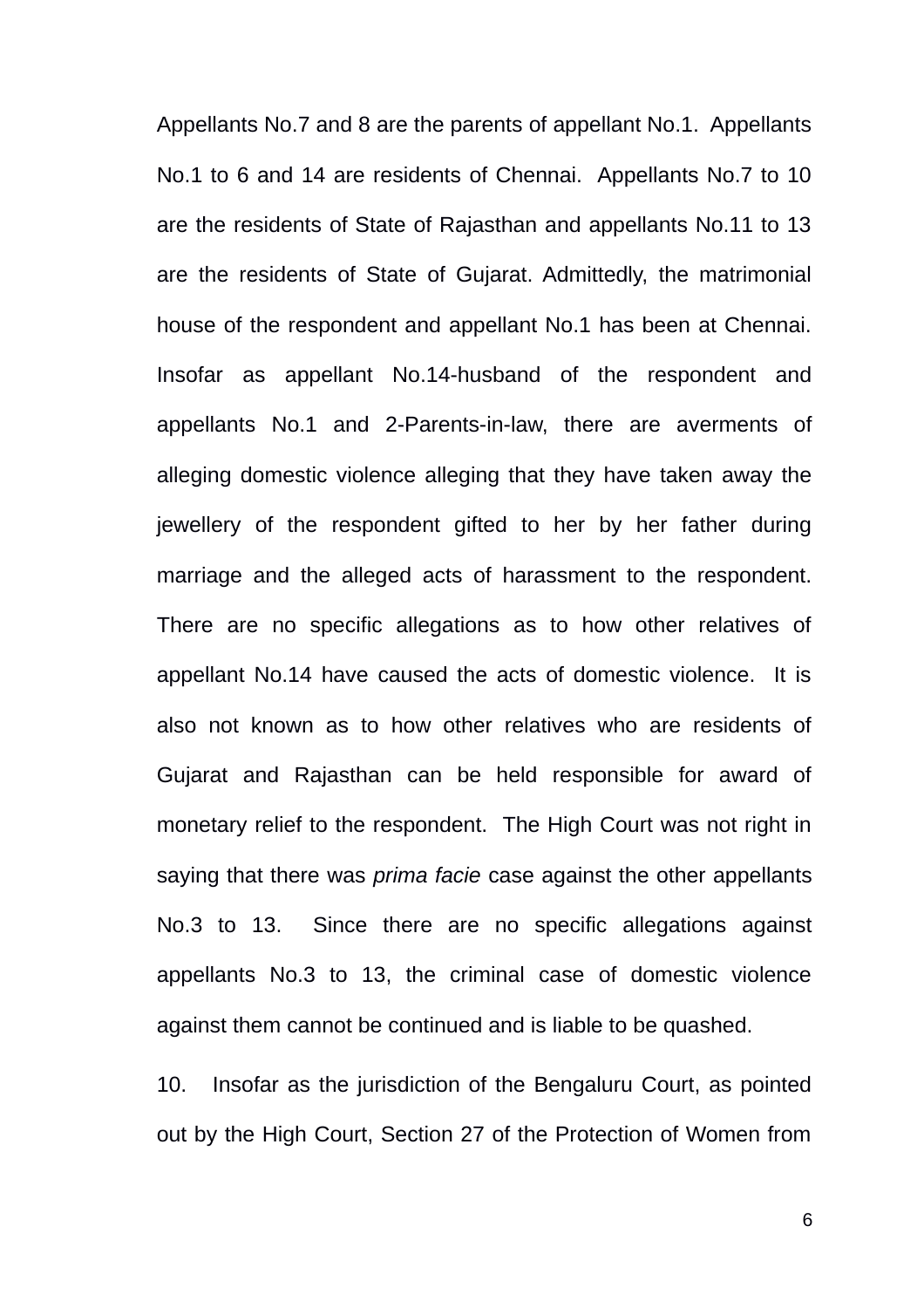Appellants No.7 and 8 are the parents of appellant No.1. Appellants No.1 to 6 and 14 are residents of Chennai. Appellants No.7 to 10 are the residents of State of Rajasthan and appellants No.11 to 13 are the residents of State of Gujarat. Admittedly, the matrimonial house of the respondent and appellant No.1 has been at Chennai. Insofar as appellant No.14-husband of the respondent and appellants No.1 and 2-Parents-in-law, there are averments of alleging domestic violence alleging that they have taken away the jewellery of the respondent gifted to her by her father during marriage and the alleged acts of harassment to the respondent. There are no specific allegations as to how other relatives of appellant No.14 have caused the acts of domestic violence. It is also not known as to how other relatives who are residents of Gujarat and Rajasthan can be held responsible for award of monetary relief to the respondent. The High Court was not right in saying that there was *prima facie* case against the other appellants No.3 to 13. Since there are no specific allegations against appellants No.3 to 13, the criminal case of domestic violence against them cannot be continued and is liable to be quashed.

10. Insofar as the jurisdiction of the Bengaluru Court, as pointed out by the High Court, Section 27 of the Protection of Women from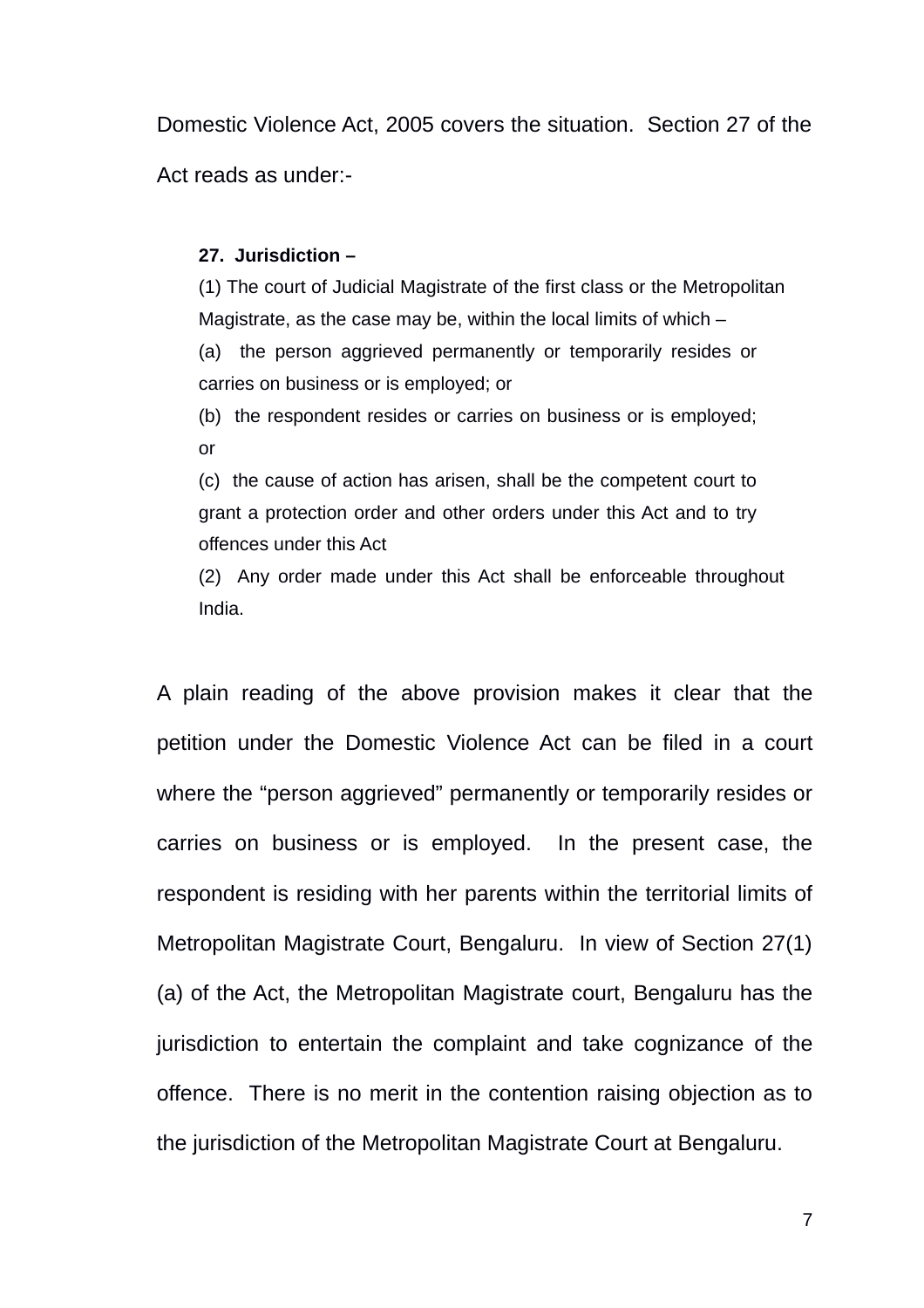Domestic Violence Act, 2005 covers the situation. Section 27 of the Act reads as under:-

### **27. Jurisdiction –**

(1) The court of Judicial Magistrate of the first class or the Metropolitan Magistrate, as the case may be, within the local limits of which – (a) the person aggrieved permanently or temporarily resides or carries on business or is employed; or

(b) the respondent resides or carries on business or is employed; or

(c) the cause of action has arisen, shall be the competent court to grant a protection order and other orders under this Act and to try offences under this Act

(2) Any order made under this Act shall be enforceable throughout India.

A plain reading of the above provision makes it clear that the petition under the Domestic Violence Act can be filed in a court where the "person aggrieved" permanently or temporarily resides or carries on business or is employed. In the present case, the respondent is residing with her parents within the territorial limits of Metropolitan Magistrate Court, Bengaluru. In view of Section 27(1) (a) of the Act, the Metropolitan Magistrate court, Bengaluru has the jurisdiction to entertain the complaint and take cognizance of the offence. There is no merit in the contention raising objection as to the jurisdiction of the Metropolitan Magistrate Court at Bengaluru.